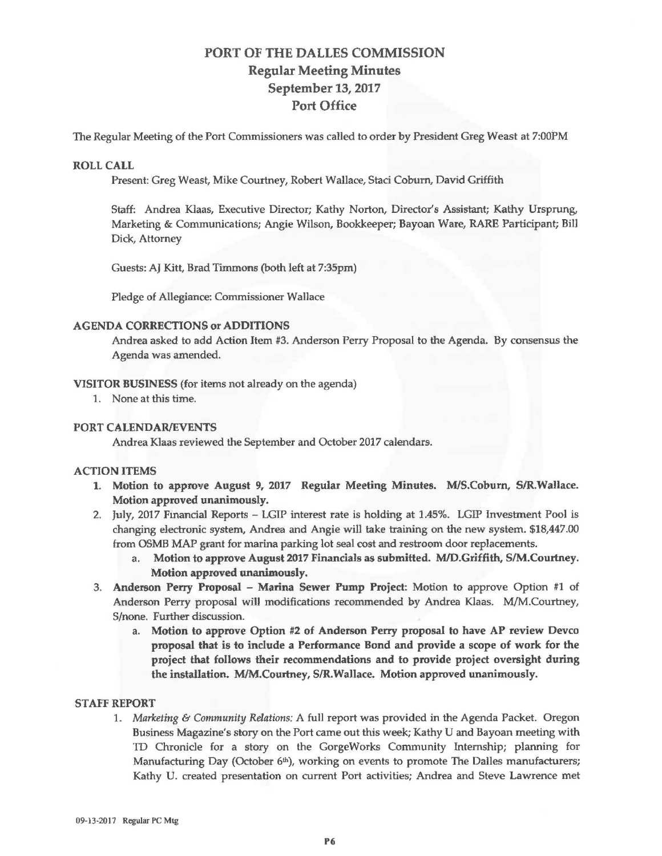# PORT OF THE DALLES COMMISSION Regular Meeting Minutes September 13, 2017 Port Office

The Regular Meeting of the Port Commissioners was called to order by President Greg Weast at 7:00PM

### ROLL **CALL**

Present: Greg Weast, Mike Courtney, Robert Wallace, Staci Coburn, David Griffith

Staff: Andrea Klaas, Executive Director; Kathy Norton, Director's Assistant; Kathy Ursprung, Marketing & Communications; Angie Wilson, Bookkeeper; Bayoan **Ware,** RARE Participant; Bill Dick, Attorney

Guests: AJ Kitt, Brad Timmons (both left at 7:35pm)

Pledge of Allegiance: Commissioner Wallace

#### **AGENDA CORRECTIONS or ADDITIONS**

Andrea asked to add Action Item #3. Anderson Perry Proposal to the Agenda. By consensus the Agenda was amended.

#### **VJSITOR BUSINESS** (for items not already on the agenda)

1. None at this time.

## **PORT CALENDAR/EVENTS**

Andrea Klaas reviewed the September and October 2017 calendars .

## ACTION ITEMS

- 1. Motion to approve August 9, 2017 Regular Meeting Minutes. MIS.Coburn, SIR.Wallace. Motion approved unanimously.
- 2. July, 2017 Financial Reports LGIP interest rate is holding at 1.45%. LGIP Investment Pool is changing electronic system, Andrea and Angie will take training on the new system . \$18,447.00 from OSMB MAP grant for marina parking lot seal cost and restroom door replacements.
	- a. Motion to approve August 2017 Financials as submitted. MID.Griffith, SIM.Courtney. Motion approved unanimously.
- 3. Anderson Perry Proposal Marina Sewer Pump Project: Motion to approve Option #1 of Anderson Perry proposal will modifications recommended by Andrea Klaas. M/M .Courtney, S/none. Further discussion.
	- a. Motion to approve Option #2 of Anderson Perry proposal to have AP review Devco proposal that is to include a Performance Bond and provide a scope of work for the project that follows their recommendations and to provide project oversight during the installation. M/M.Courtney, SIR.Wallace. Motion approved unanimously.

#### **STAFF REPORT**

1. *Marketing & Community Relations: A full report was provided in the Agenda Packet. Oregon* Business Magazine's story on the Port came out this week; Kathy U and Bayoan meeting with TD Chronicle for a story on the GorgeWorks Community Internship; planning for Manufacturing Day (October 6<sup>th</sup>), working on events to promote The Dalles manufacturers; Kathy U. created presentation on current Port activities; Andrea and Steve Lawrence met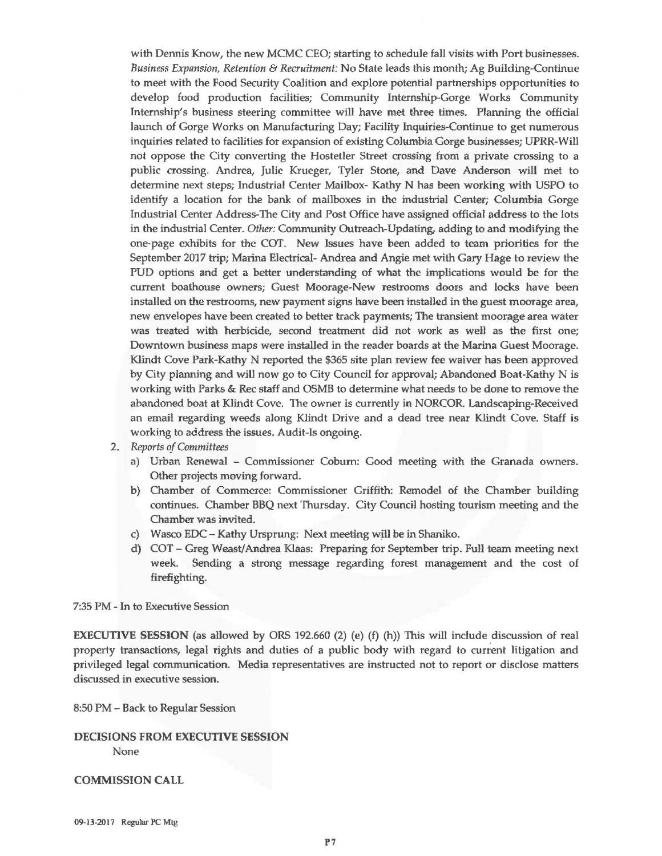with Dennis Know, the new MCMC CEO; starting to schedule fall visits with Port businesses. *Business Expansion, Retention* & *Recruitment:* No State leads this month; Ag Building-Continue to meet with the Food Security Coalition and explore potential partnerships opportunities to develop food production facilities; Community Internship-Gorge Works Community Internship's business steering committee will have met three times. Planning the official launch of Gorge Works on Manufacturing Day; Facility Inquiries-Continue to get numerous inquiries related to facilities for expansion of existing Columbia Gorge businesses; UPRR-Will not oppose the City converting the Hostetler Street crossing from a private crossing to a public crossing. Andrea, Julie Krueger, Tyler Stone, and Dave Anderson will met to determine next steps; Industrial Center Mailbox- Kathy N has been working with USPO to identify a location for the bank of mailboxes in the industrial Center; Columbia Gorge Industrial Center Address-The City and Post Office have assigned official address to the lots in the industrial Center. *Other:* Community Outreach-Updating, adding to and modifying the one-page exhibits for the COT. New Issues have been added to team priorities for the September 2017 trip; Marina Electrical- Andrea and Angie met with Gary Hage to review the PUD options and get a better understanding of what the implications would be for the current boathouse owners; Guest Moorage-New restrooms doors and locks have been installed on the restrooms, new payment signs have been installed in the guest moorage area, new envelopes have been created to better track payments; The transient moorage area water was treated with herbicide, second treatment did not work as well as the first one; Downtown business maps were installed in the reader boards at the Marina Guest Moorage. Klindt Cove Park-Kathy N reported the \$365 site plan review fee waiver has been approved by City planning and will now go to City Council for approval; Abandoned Boat-Kathy N is working with Parks & Rec staff and 05MB to determine what needs to be done to remove the abandoned boat at Klindt Cove. The owner is currently in NORCOR. Landscaping-Received an email regarding weeds along Klindt Drive and a dead tree near Klindt Cove. Staff is working to address the issues. Audit-Is ongoing.

- 2. *Reports of Committees* 
	- a) Urban Renewal Commissioner Coburn: Good meeting with the Granada owners. Other projects moving forward.
	- b) Chamber of Commerce: Commissioner Griffith: Remodel of the Chamber building continues. Chamber BBQ next Thursday. City Council hosting tourism meeting and the Chamber was invited.
	- c) Wasco EDC **Kathy** Ursprung: Next meeting wjll be in Shaniko .
	- d) COT-Greg Weast/Andrea Klaas: Preparing for September trip. Full team meeting next week. Sending a strong message regarding forest management and the cost of firefighting.

7:35 PM - In to Executive Session

**EXECUTIVE SESSION** (as allowed by ORS 192.660 (2) (e) (f) (h)) This will include discussion of real property transactions, legal rights and duties of a public body with regard to current litigation and privileged legal communication. Media representatives are instructed not to report or disclose matters discussed in executive session.

8:50 PM - Back to Regular Session

**DECISIONS FROM EXECUTIVE SESSION**  None

**COMMISSION CALL** 

09-13-2017 Regular PC Mtg